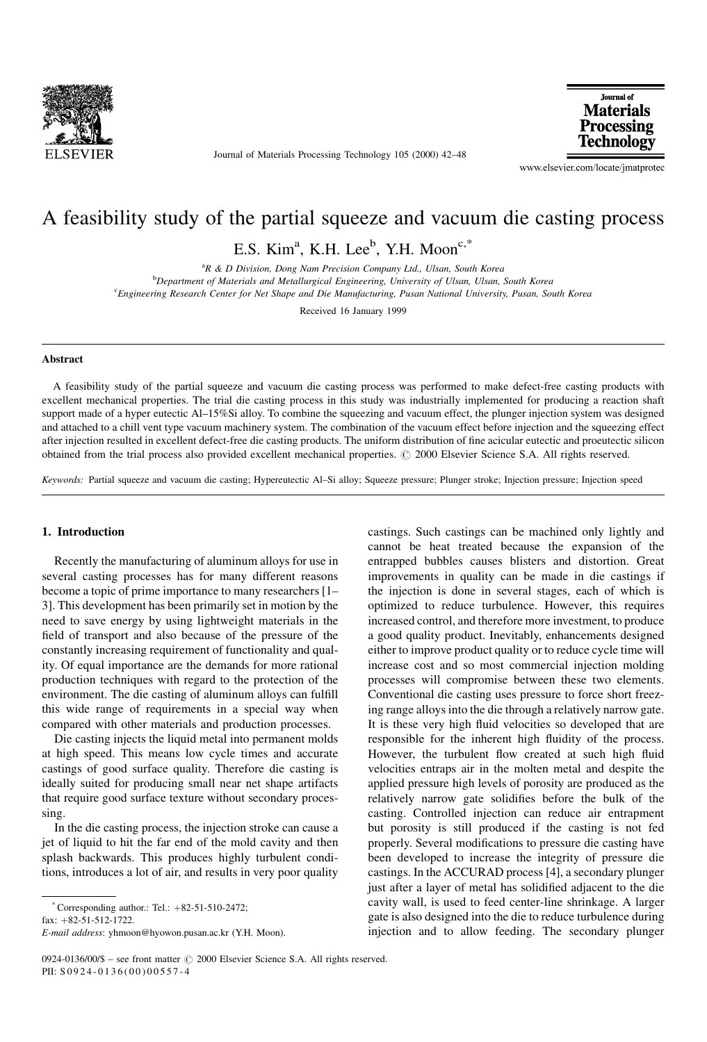

Journal of Materials Processing Technology 105 (2000) 42-48

Journal of **Materials Processing Technology** 

www.elsevier.com/locate/jmatprotec

# A feasibility study of the partial squeeze and vacuum die casting process

E.S. Kim<sup>a</sup>, K.H. Lee<sup>b</sup>, Y.H. Moon<sup>c,\*</sup>

<sup>a</sup>R & D Division, Dong Nam Precision Company Ltd., Ulsan, South Korea **b** Department of Materials and Metallurgical Engineering, University of Ulsan, Ulsan, South Korea c Engineering Research Center for Net Shape and Die Manufacturing, Pusan National University, Pusan, South Korea

Received 16 January 1999

#### **Abstract**

A feasibility study of the partial squeeze and vacuum die casting process was performed to make defect-free casting products with excellent mechanical properties. The trial die casting process in this study was industrially implemented for producing a reaction shaft support made of a hyper eutectic Al-15%Si alloy. To combine the squeezing and vacuum effect, the plunger injection system was designed and attached to a chill vent type vacuum machinery system. The combination of the vacuum effect before injection and the squeezing effect after injection resulted in excellent defect-free die casting products. The uniform distribution of fine acicular eutectic and proeutectic silicon obtained from the trial process also provided excellent mechanical properties. © 2000 Elsevier Science S.A. All rights reserved.

Keywords: Partial squeeze and vacuum die casting; Hypereutectic Al-Si alloy; Squeeze pressure; Plunger stroke; Injection pressure; Injection speed

# 1. Introduction

Recently the manufacturing of aluminum alloys for use in several casting processes has for many different reasons become a topic of prime importance to many researchers [1– 3]. This development has been primarily set in motion by the need to save energy by using lightweight materials in the field of transport and also because of the pressure of the constantly increasing requirement of functionality and quality. Of equal importance are the demands for more rational production techniques with regard to the protection of the environment. The die casting of aluminum alloys can fulfill this wide range of requirements in a special way when compared with other materials and production processes.

Die casting injects the liquid metal into permanent molds at high speed. This means low cycle times and accurate castings of good surface quality. Therefore die casting is ideally suited for producing small near net shape artifacts that require good surface texture without secondary processing.

In the die casting process, the injection stroke can cause a jet of liquid to hit the far end of the mold cavity and then splash backwards. This produces highly turbulent conditions, introduces a lot of air, and results in very poor quality

castings. Such castings can be machined only lightly and cannot be heat treated because the expansion of the entrapped bubbles causes blisters and distortion. Great improvements in quality can be made in die castings if the injection is done in several stages, each of which is optimized to reduce turbulence. However, this requires increased control, and therefore more investment, to produce a good quality product. Inevitably, enhancements designed either to improve product quality or to reduce cycle time will increase cost and so most commercial injection molding processes will compromise between these two elements. Conventional die casting uses pressure to force short freezing range alloys into the die through a relatively narrow gate. It is these very high fluid velocities so developed that are responsible for the inherent high fluidity of the process. However, the turbulent flow created at such high fluid velocities entraps air in the molten metal and despite the applied pressure high levels of porosity are produced as the relatively narrow gate solidifies before the bulk of the casting. Controlled injection can reduce air entrapment but porosity is still produced if the casting is not fed properly. Several modifications to pressure die casting have been developed to increase the integrity of pressure die castings. In the ACCURAD process [4], a secondary plunger just after a layer of metal has solidified adjacent to the die cavity wall, is used to feed center-line shrinkage. A larger gate is also designed into the die to reduce turbulence during injection and to allow feeding. The secondary plunger

 $*$  Corresponding author.: Tel.:  $+82-51-510-2472$ ;

fax:  $+82-51-512-1722$ .

E-mail address: yhmoon@hyowon.pusan.ac.kr (Y.H. Moon).

<sup>0924-0136/00/\$ -</sup> see front matter  $\odot$  2000 Elsevier Science S.A. All rights reserved. PII: S 0924-0136(00)00557-4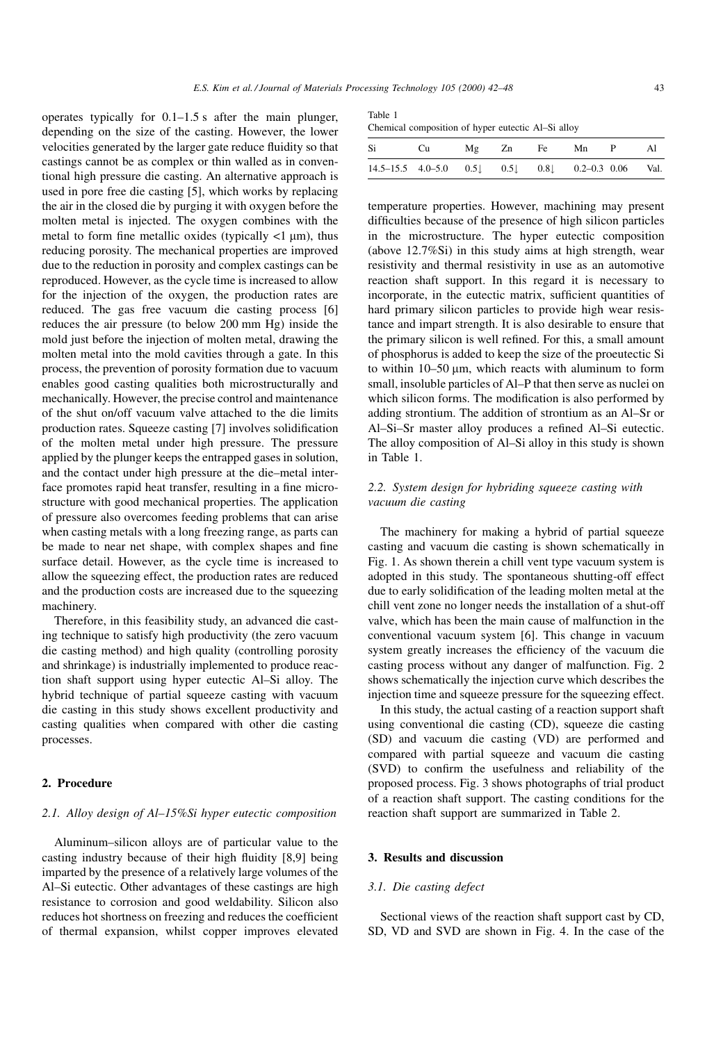E.S. Kim et al. / Journal of Materials Processing Technology 105 (2000) 42-48 43

 $T_{\rm{max}}$ 

operates typically for  $0.1-1.5$  s after the main plunger, depending on the size of the casting. However, the lower velocities generated by the larger gate reduce fluidity so that castings cannot be as complex or thin walled as in conventional high pressure die casting. An alternative approach is used in pore free die casting [5], which works by replacing the air in the closed die by purging it with oxygen before the molten metal is injected. The oxygen combines with the metal to form fine metallic oxides (typically  $\langle 1 \mu m \rangle$ , thus reducing porosity. The mechanical properties are improved due to the reduction in porosity and complex castings can be reproduced. However, as the cycle time is increased to allow for the injection of the oxygen, the production rates are reduced. The gas free vacuum die casting process [6] reduces the air pressure (to below 200 mm Hg) inside the mold just before the injection of molten metal, drawing the molten metal into the mold cavities through a gate. In this process, the prevention of porosity formation due to vacuum enables good casting qualities both microstructurally and mechanically. However, the precise control and maintenance of the shut on/off vacuum valve attached to the die limits production rates. Squeeze casting [7] involves solidification of the molten metal under high pressure. The pressure applied by the plunger keeps the entrapped gases in solution, and the contact under high pressure at the die-metal interface promotes rapid heat transfer, resulting in a fine microstructure with good mechanical properties. The application of pressure also overcomes feeding problems that can arise when casting metals with a long freezing range, as parts can be made to near net shape, with complex shapes and fine surface detail. However, as the cycle time is increased to allow the squeezing effect, the production rates are reduced and the production costs are increased due to the squeezing

Therefore, in this feasibility study, an advanced die casting technique to satisfy high productivity (the zero vacuum die casting method) and high quality (controlling porosity and shrinkage) is industrially implemented to produce reaction shaft support using hyper eutectic Al–Si alloy. The hybrid technique of partial squeeze casting with vacuum die casting in this study shows excellent productivity and casting qualities when compared with other die casting processes.

## 2. Procedure

machinery.

## 2.1. Alloy design of Al-15%Si hyper eutectic composition

Aluminum-silicon alloys are of particular value to the casting industry because of their high fluidity [8,9] being imparted by the presence of a relatively large volumes of the Al-Si eutectic. Other advantages of these castings are high resistance to corrosion and good weldability. Silicon also reduces hot shortness on freezing and reduces the coefficient of thermal expansion, whilst copper improves elevated

| radie F |                                                    |  |  |
|---------|----------------------------------------------------|--|--|
|         | Chemical composition of hyper eutectic Al-Si alloy |  |  |

| Si                                                            | Cu c |  | Mg Zn Fe Mn P | - Al |
|---------------------------------------------------------------|------|--|---------------|------|
| $14.5-15.5$ $4.0-5.0$ $0.5$ $0.5$ $0.8$ $0.2-0.3$ $0.06$ Val. |      |  |               |      |

temperature properties. However, machining may present difficulties because of the presence of high silicon particles in the microstructure. The hyper eutectic composition (above 12.7%Si) in this study aims at high strength, wear resistivity and thermal resistivity in use as an automotive reaction shaft support. In this regard it is necessary to incorporate, in the eutectic matrix, sufficient quantities of hard primary silicon particles to provide high wear resistance and impart strength. It is also desirable to ensure that the primary silicon is well refined. For this, a small amount of phosphorus is added to keep the size of the proeutectic Si to within  $10-50 \mu m$ , which reacts with aluminum to form small, insoluble particles of Al–P that then serve as nuclei on which silicon forms. The modification is also performed by adding strontium. The addition of strontium as an Al±Sr or Al-Si-Sr master alloy produces a refined Al-Si eutectic. The alloy composition of Al-Si alloy in this study is shown in Table 1.

# 2.2. System design for hybriding squeeze casting with vacuum die casting

The machinery for making a hybrid of partial squeeze casting and vacuum die casting is shown schematically in Fig. 1. As shown therein a chill vent type vacuum system is adopted in this study. The spontaneous shutting-off effect due to early solidification of the leading molten metal at the chill vent zone no longer needs the installation of a shut-off valve, which has been the main cause of malfunction in the conventional vacuum system [6]. This change in vacuum system greatly increases the efficiency of the vacuum die casting process without any danger of malfunction. Fig. 2 shows schematically the injection curve which describes the injection time and squeeze pressure for the squeezing effect.

In this study, the actual casting of a reaction support shaft using conventional die casting (CD), squeeze die casting (SD) and vacuum die casting (VD) are performed and compared with partial squeeze and vacuum die casting (SVD) to confirm the usefulness and reliability of the proposed process. Fig. 3 shows photographs of trial product of a reaction shaft support. The casting conditions for the reaction shaft support are summarized in Table 2.

#### 3. Results and discussion

## 3.1. Die casting defect

Sectional views of the reaction shaft support cast by CD, SD, VD and SVD are shown in Fig. 4. In the case of the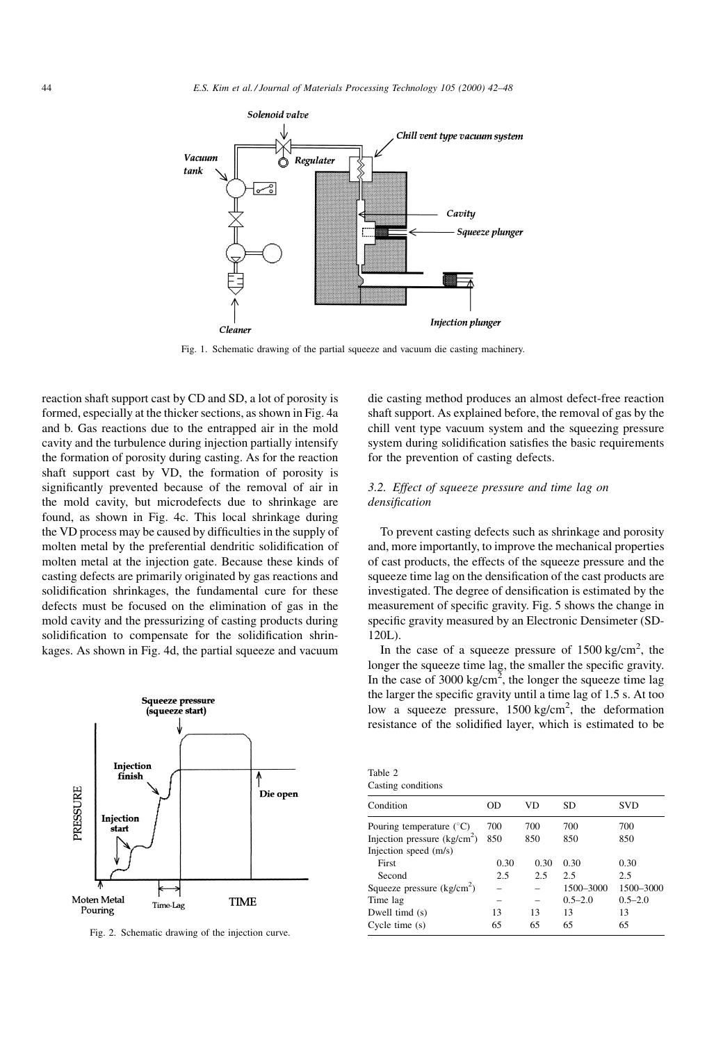

Fig. 1. Schematic drawing of the partial squeeze and vacuum die casting machinery.

Table 2

reaction shaft support cast by CD and SD, a lot of porosity is formed, especially at the thicker sections, as shown in Fig. 4a and b. Gas reactions due to the entrapped air in the mold cavity and the turbulence during injection partially intensify the formation of porosity during casting. As for the reaction shaft support cast by VD, the formation of porosity is significantly prevented because of the removal of air in the mold cavity, but microdefects due to shrinkage are found, as shown in Fig. 4c. This local shrinkage during the VD process may be caused by difficulties in the supply of molten metal by the preferential dendritic solidification of molten metal at the injection gate. Because these kinds of casting defects are primarily originated by gas reactions and solidification shrinkages, the fundamental cure for these defects must be focused on the elimination of gas in the mold cavity and the pressurizing of casting products during solidification to compensate for the solidification shrinkages. As shown in Fig. 4d, the partial squeeze and vacuum



Fig. 2. Schematic drawing of the injection curve.

die casting method produces an almost defect-free reaction shaft support. As explained before, the removal of gas by the chill vent type vacuum system and the squeezing pressure system during solidification satisfies the basic requirements for the prevention of casting defects.

# 3.2. Effect of squeeze pressure and time lag on densification

To prevent casting defects such as shrinkage and porosity and, more importantly, to improve the mechanical properties of cast products, the effects of the squeeze pressure and the squeeze time lag on the densification of the cast products are investigated. The degree of densification is estimated by the measurement of specific gravity. Fig. 5 shows the change in specific gravity measured by an Electronic Densimeter (SD-120L).

In the case of a squeeze pressure of  $1500 \text{ kg/cm}^2$ , the longer the squeeze time lag, the smaller the specific gravity. In the case of 3000 kg/cm<sup>2</sup>, the longer the squeeze time lag the larger the specific gravity until a time lag of  $1.5$  s. At too low a squeeze pressure,  $1500 \text{ kg/cm}^2$ , the deformation resistance of the solidified layer, which is estimated to be

| Casting conditions                   |      |      |             |             |  |  |  |
|--------------------------------------|------|------|-------------|-------------|--|--|--|
| Condition                            | OD   | VD   | <b>SD</b>   | <b>SVD</b>  |  |  |  |
| Pouring temperature $(^{\circ}C)$    | 700  | 700  | 700         | 700         |  |  |  |
| Injection pressure $\frac{kg}{cm^2}$ | 850  | 850  | 850         | 850         |  |  |  |
| Injection speed (m/s)                |      |      |             |             |  |  |  |
| First                                | 0.30 | 0.30 | 0.30        | 0.30        |  |  |  |
| Second                               | 2.5  | 2.5  | 2.5         | 2.5         |  |  |  |
| Squeeze pressure $(kg/cm2)$          |      |      | 1500-3000   | 1500-3000   |  |  |  |
| Time lag                             |      |      | $0.5 - 2.0$ | $0.5 - 2.0$ |  |  |  |
| Dwell timd (s)                       | 13   | 13   | 13          | 13          |  |  |  |
| Cycle time(s)                        | 65   | 65   | 65          | 65          |  |  |  |
|                                      |      |      |             |             |  |  |  |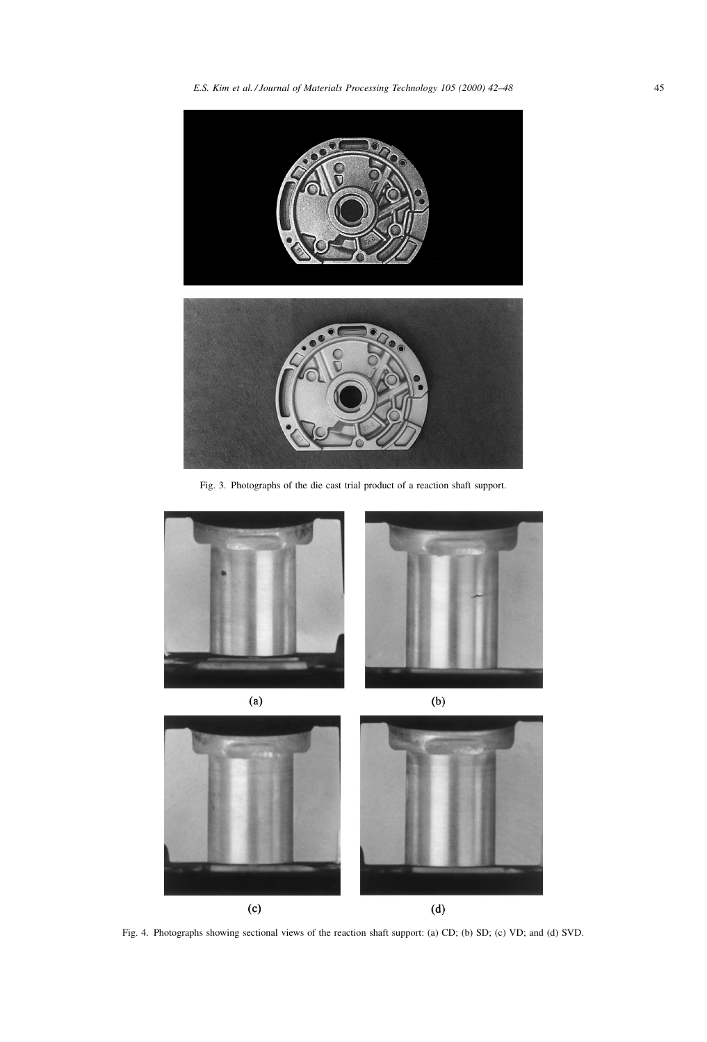

Fig. 3. Photographs of the die cast trial product of a reaction shaft support.





Fig. 4. Photographs showing sectional views of the reaction shaft support: (a) CD; (b) SD; (c) VD; and (d) SVD.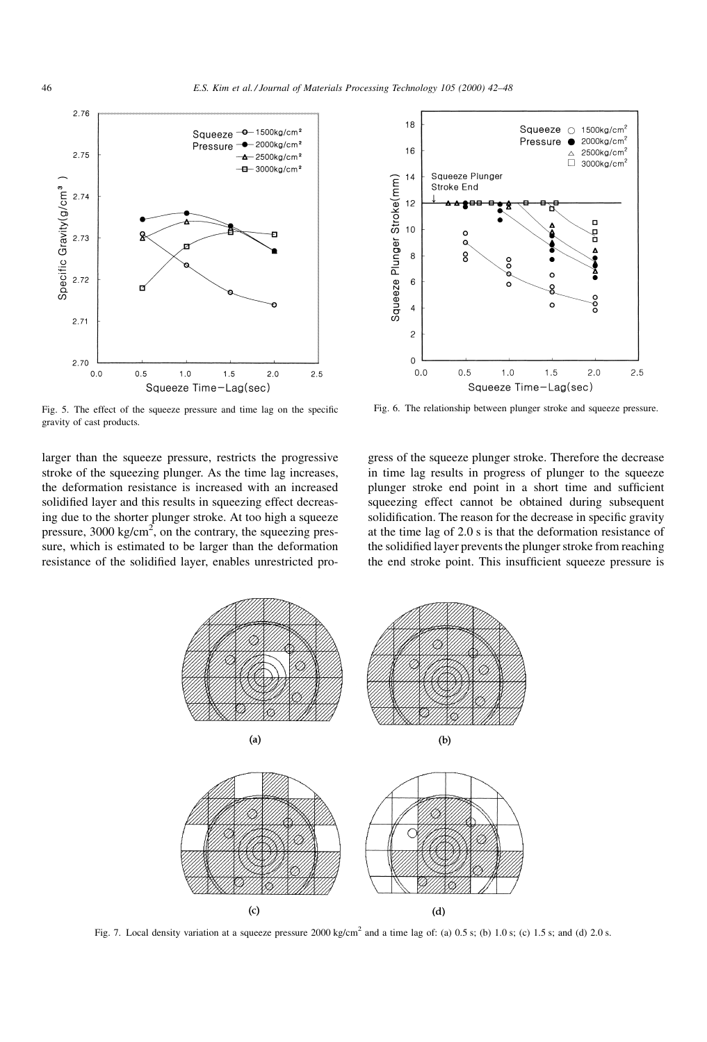

Fig. 5. The effect of the squeeze pressure and time lag on the specific gravity of cast products.

larger than the squeeze pressure, restricts the progressive stroke of the squeezing plunger. As the time lag increases, the deformation resistance is increased with an increased solidified layer and this results in squeezing effect decreasing due to the shorter plunger stroke. At too high a squeeze pressure,  $3000 \text{ kg/cm}^2$ , on the contrary, the squeezing pressure, which is estimated to be larger than the deformation resistance of the solidified layer, enables unrestricted pro-



Fig. 6. The relationship between plunger stroke and squeeze pressure.

gress of the squeeze plunger stroke. Therefore the decrease in time lag results in progress of plunger to the squeeze plunger stroke end point in a short time and sufficient squeezing effect cannot be obtained during subsequent solidification. The reason for the decrease in specific gravity at the time lag of 2.0 s is that the deformation resistance of the solidified layer prevents the plunger stroke from reaching the end stroke point. This insufficient squeeze pressure is



Fig. 7. Local density variation at a squeeze pressure 2000 kg/cm<sup>2</sup> and a time lag of: (a) 0.5 s; (b) 1.0 s; (c) 1.5 s; and (d) 2.0 s.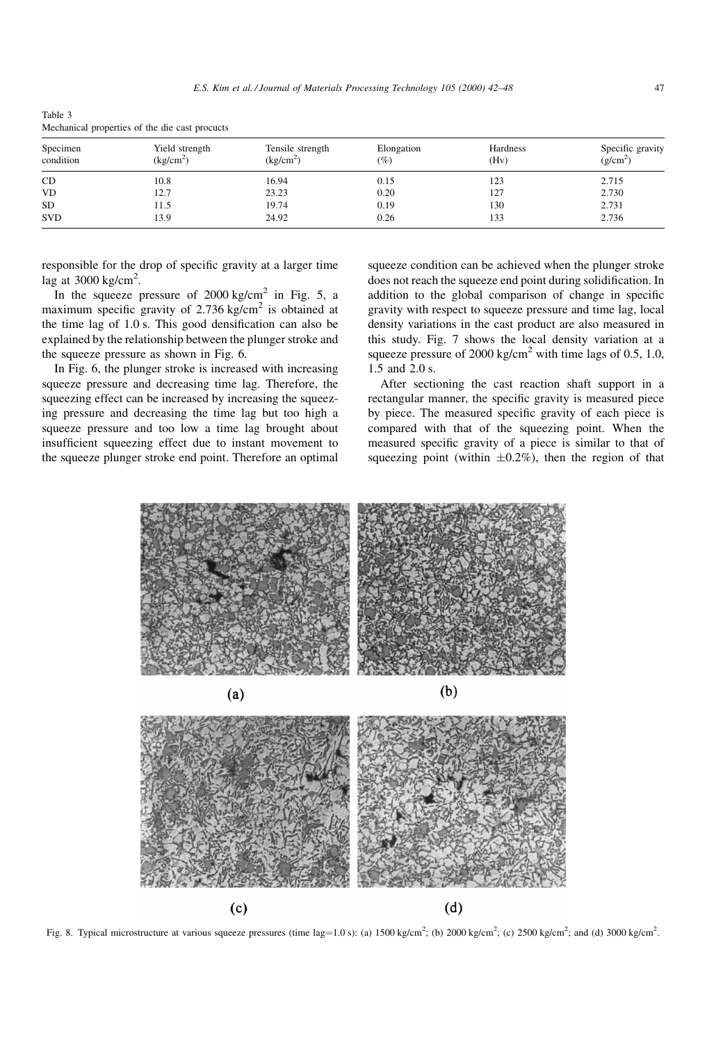| Table 3                                        |  |  |  |
|------------------------------------------------|--|--|--|
| Mechanical properties of the die cast procucts |  |  |  |

| Specimen<br>condition | Yield strength<br>$\frac{\text{kg/cm}^2}{\text{m}^2}$ | Tensile strength<br>(kg/cm <sup>2</sup> ) | Elongation<br>(%) | Hardness<br>(Hv) | Specific gravity<br>$(g/cm^2)$ |
|-----------------------|-------------------------------------------------------|-------------------------------------------|-------------------|------------------|--------------------------------|
| <b>CD</b>             | 10.8                                                  | 16.94                                     | 0.15              | 123              | 2.715                          |
| <b>VD</b>             | 12.7                                                  | 23.23                                     | 0.20              | 127              | 2.730                          |
| <b>SD</b>             | 11.5                                                  | 19.74                                     | 0.19              | 130              | 2.731                          |
| <b>SVD</b>            | 13.9                                                  | 24.92                                     | 0.26              | 133              | 2.736                          |

responsible for the drop of specific gravity at a larger time lag at  $3000 \text{ kg/cm}^2$ .

In the squeeze pressure of  $2000 \text{ kg/cm}^2$  in Fig. 5, a maximum specific gravity of  $2.736 \text{ kg/cm}^2$  is obtained at the time lag of  $1.0$  s. This good densification can also be explained by the relationship between the plunger stroke and the squeeze pressure as shown in Fig. 6.

In Fig. 6, the plunger stroke is increased with increasing squeeze pressure and decreasing time lag. Therefore, the squeezing effect can be increased by increasing the squeezing pressure and decreasing the time lag but too high a squeeze pressure and too low a time lag brought about insufficient squeezing effect due to instant movement to the squeeze plunger stroke end point. Therefore an optimal squeeze condition can be achieved when the plunger stroke does not reach the squeeze end point during solidification. In addition to the global comparison of change in specific gravity with respect to squeeze pressure and time lag, local density variations in the cast product are also measured in this study. Fig. 7 shows the local density variation at a squeeze pressure of 2000 kg/cm<sup>2</sup> with time lags of 0.5, 1.0, 1.5 and 2.0 s.

After sectioning the cast reaction shaft support in a rectangular manner, the specific gravity is measured piece by piece. The measured specific gravity of each piece is compared with that of the squeezing point. When the measured specific gravity of a piece is similar to that of squeezing point (within  $\pm 0.2\%$ ), then the region of that



Fig. 8. Typical microstructure at various squeeze pressures (time lag=1.0 s): (a)  $1500 \text{ kg/cm}^2$ ; (b)  $2000 \text{ kg/cm}^2$ ; (c)  $2500 \text{ kg/cm}^2$ ; and (d)  $3000 \text{ kg/cm}^2$ .